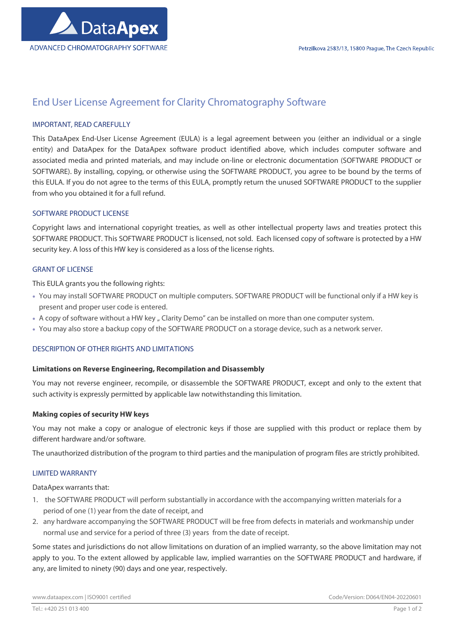

# End User License Agreement for Clarity Chromatography Software

## IMPORTANT, READ CAREFULLY

This DataApex End-User License Agreement (EULA) is a legal agreement between you (either an individual or a single entity) and DataApex for the DataApex software product identified above, which includes computer software and associated media and printed materials, and may include on-line or electronic documentation (SOFTWARE PRODUCT or SOFTWARE). By installing, copying, or otherwise using the SOFTWARE PRODUCT, you agree to be bound by the terms of this EULA. If you do not agree to the terms of this EULA, promptly return the unused SOFTWARE PRODUCT to the supplier from who you obtained it for a full refund.

## SOFTWARE PRODUCT LICENSE

Copyright laws and international copyright treaties, as well as other intellectual property laws and treaties protect this SOFTWARE PRODUCT. This SOFTWARE PRODUCT is licensed, not sold. Each licensed copy of software is protected by a HW security key. A loss of this HW key is considered as a loss of the license rights.

### GRANT OF LICENSE

This EULA grants you the following rights:

- You may install SOFTWARE PRODUCT on multiple computers. SOFTWARE PRODUCT will be functional only if a HW key is present and proper user code is entered.
- A copy of software without a HW key " Clarity Demo" can be installed on more than one computer system.
- You may also store a backup copy of the SOFTWARE PRODUCT on a storage device, such as a network server.

### DESCRIPTION OF OTHER RIGHTS AND LIMITATIONS

### Limitations on Reverse Engineering, Recompilation and Disassembly

You may not reverse engineer, recompile, or disassemble the SOFTWARE PRODUCT, except and only to the extent that such activity is expressly permitted by applicable law notwithstanding this limitation.

### Making copies of security HW keys

You may not make a copy or analogue of electronic keys if those are supplied with this product or replace them by different hardware and/or software.

The unauthorized distribution of the program to third parties and the manipulation of program files are strictly prohibited.

### LIMITED WARRANTY

DataApex warrants that:

- 1. the SOFTWARE PRODUCT will perform substantially in accordance with the accompanying written materials for a period of one (1) year from the date of receipt, and
- 2. any hardware accompanying the SOFTWARE PRODUCT will be free from defects in materials and workmanship under normal use and service for a period of three (3) years from the date of receipt.

Some states and jurisdictions do not allow limitations on duration of an implied warranty, so the above limitation may not apply to you. To the extent allowed by applicable law, implied warranties on the SOFTWARE PRODUCT and hardware, if any, are limited to ninety (90) days and one year, respectively.